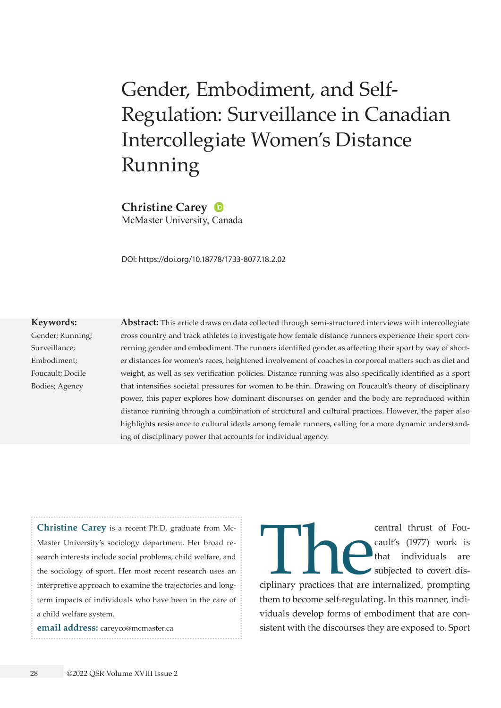# Gender, Embodiment, and Self-Regulation: Surveillance in Canadian Intercollegiate Women's Distance Running

**Christine Carey** McMaster University, Canada

DOI: <https://doi.org/10.18778/1733-8077.18.2.02>

#### **Keywords:**

Gender; Running; Surveillance; Embodiment; Foucault; Docile Bodies; Agency

**Abstract:** This article draws on data collected through semi-structured interviews with intercollegiate cross country and track athletes to investigate how female distance runners experience their sport concerning gender and embodiment. The runners identified gender as affecting their sport by way of shorter distances for women's races, heightened involvement of coaches in corporeal matters such as diet and weight, as well as sex verification policies. Distance running was also specifically identified as a sport that intensifies societal pressures for women to be thin. Drawing on Foucault's theory of disciplinary power, this paper explores how dominant discourses on gender and the body are reproduced within distance running through a combination of structural and cultural practices. However, the paper also highlights resistance to cultural ideals among female runners, calling for a more dynamic understanding of disciplinary power that accounts for individual agency.

**Christine Carey** is a recent Ph.D. graduate from Mc-Master University's sociology department. Her broad research interests include social problems, child welfare, and the sociology of sport. Her most recent research uses an interpretive approach to examine the trajectories and longterm impacts of individuals who have been in the care of a child welfare system.

**email address:** [careyco@mcmaster.ca](mailto:careyco@mcmaster.ca)

central thrust of Fou-<br>
cault's (1977) work is<br>
that individuals are<br>
subjected to covert dis-<br>
ciplinary practices that are internalized, prompting cault's (1977) work is that individuals are subjected to covert disthem to become self-regulating. In this manner, individuals develop forms of embodiment that are consistent with the discourses they are exposed to. Sport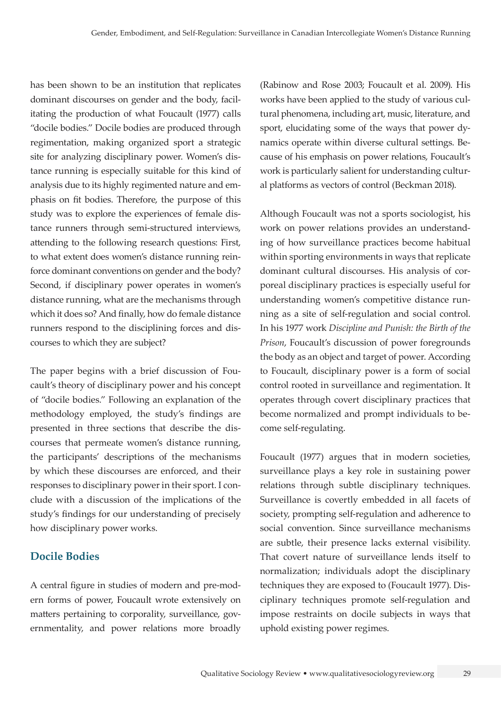has been shown to be an institution that replicates dominant discourses on gender and the body, facilitating the production of what Foucault (1977) calls "docile bodies." Docile bodies are produced through regimentation, making organized sport a strategic site for analyzing disciplinary power. Women's distance running is especially suitable for this kind of analysis due to its highly regimented nature and emphasis on fit bodies. Therefore, the purpose of this study was to explore the experiences of female distance runners through semi-structured interviews, attending to the following research questions: First, to what extent does women's distance running reinforce dominant conventions on gender and the body? Second, if disciplinary power operates in women's distance running, what are the mechanisms through which it does so? And finally, how do female distance runners respond to the disciplining forces and discourses to which they are subject?

The paper begins with a brief discussion of Foucault's theory of disciplinary power and his concept of "docile bodies." Following an explanation of the methodology employed, the study's findings are presented in three sections that describe the discourses that permeate women's distance running, the participants' descriptions of the mechanisms by which these discourses are enforced, and their responses to disciplinary power in their sport. I conclude with a discussion of the implications of the study's findings for our understanding of precisely how disciplinary power works.

## **Docile Bodies**

A central figure in studies of modern and pre-modern forms of power, Foucault wrote extensively on matters pertaining to corporality, surveillance, governmentality, and power relations more broadly

(Rabinow and Rose 2003; Foucault et al. 2009). His works have been applied to the study of various cultural phenomena, including art, music, literature, and sport, elucidating some of the ways that power dynamics operate within diverse cultural settings. Because of his emphasis on power relations, Foucault's work is particularly salient for understanding cultural platforms as vectors of control (Beckman 2018).

Although Foucault was not a sports sociologist, his work on power relations provides an understanding of how surveillance practices become habitual within sporting environments in ways that replicate dominant cultural discourses. His analysis of corporeal disciplinary practices is especially useful for understanding women's competitive distance running as a site of self-regulation and social control. In his 1977 work *Discipline and Punish: the Birth of the Prison*, Foucault's discussion of power foregrounds the body as an object and target of power. According to Foucault, disciplinary power is a form of social control rooted in surveillance and regimentation. It operates through covert disciplinary practices that become normalized and prompt individuals to become self-regulating.

Foucault (1977) argues that in modern societies, surveillance plays a key role in sustaining power relations through subtle disciplinary techniques. Surveillance is covertly embedded in all facets of society, prompting self-regulation and adherence to social convention. Since surveillance mechanisms are subtle, their presence lacks external visibility. That covert nature of surveillance lends itself to normalization; individuals adopt the disciplinary techniques they are exposed to (Foucault 1977). Disciplinary techniques promote self-regulation and impose restraints on docile subjects in ways that uphold existing power regimes.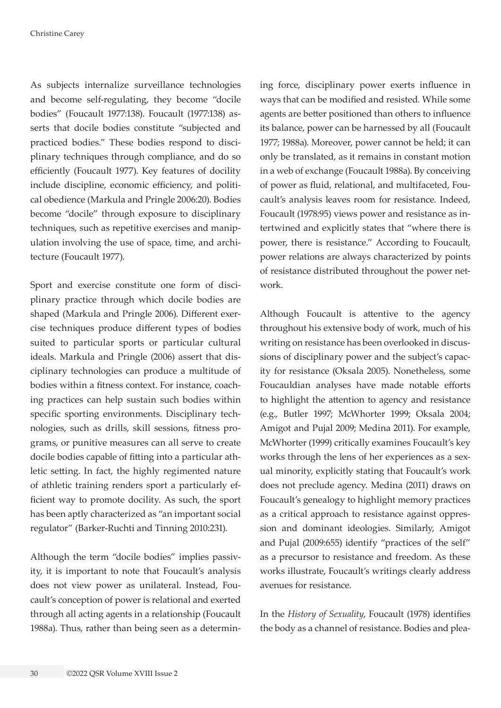As subjects internalize surveillance technologies and become self-regulating, they become "docile bodies" (Foucault 1977:138). Foucault (1977:138) asserts that docile bodies constitute "subjected and practiced bodies." These bodies respond to disciplinary techniques through compliance, and do so efficiently (Foucault 1977). Key features of docility include discipline, economic efficiency, and political obedience (Markula and Pringle 2006:20). Bodies become "docile" through exposure to disciplinary techniques, such as repetitive exercises and manipulation involving the use of space, time, and architecture (Foucault 1977).

Sport and exercise constitute one form of disciplinary practice through which docile bodies are shaped (Markula and Pringle 2006). Different exercise techniques produce different types of bodies suited to particular sports or particular cultural ideals. Markula and Pringle (2006) assert that disciplinary technologies can produce a multitude of bodies within a fitness context. For instance, coaching practices can help sustain such bodies within specific sporting environments. Disciplinary technologies, such as drills, skill sessions, fitness programs, or punitive measures can all serve to create docile bodies capable of fitting into a particular athletic setting. In fact, the highly regimented nature of athletic training renders sport a particularly efficient way to promote docility. As such, the sport has been aptly characterized as "an important social regulator" (Barker-Ruchti and Tinning 2010:231).

Although the term "docile bodies" implies passivity, it is important to note that Foucault's analysis does not view power as unilateral. Instead, Foucault's conception of power is relational and exerted through all acting agents in a relationship (Foucault 1988a). Thus, rather than being seen as a determining force, disciplinary power exerts influence in ways that can be modified and resisted. While some agents are better positioned than others to influence its balance, power can be harnessed by all (Foucault 1977; 1988a). Moreover, power cannot be held; it can only be translated, as it remains in constant motion in a web of exchange (Foucault 1988a). By conceiving of power as fluid, relational, and multifaceted, Foucault's analysis leaves room for resistance. Indeed, Foucault (1978:95) views power and resistance as intertwined and explicitly states that "where there is power, there is resistance." According to Foucault, power relations are always characterized by points of resistance distributed throughout the power network.

Although Foucault is attentive to the agency throughout his extensive body of work, much of his writing on resistance has been overlooked in discussions of disciplinary power and the subject's capacity for resistance (Oksala 2005). Nonetheless, some Foucauldian analyses have made notable efforts to highlight the attention to agency and resistance (e.g., Butler 1997; McWhorter 1999; Oksala 2004; Amigot and Pujal 2009; Medina 2011). For example, McWhorter (1999) critically examines Foucault's key works through the lens of her experiences as a sexual minority, explicitly stating that Foucault's work does not preclude agency. Medina (2011) draws on Foucault's genealogy to highlight memory practices as a critical approach to resistance against oppression and dominant ideologies. Similarly, Amigot and Pujal (2009:655) identify "practices of the self" as a precursor to resistance and freedom. As these works illustrate, Foucault's writings clearly address avenues for resistance.

In the *History of Sexuality*, Foucault (1978) identifies the body as a channel of resistance. Bodies and plea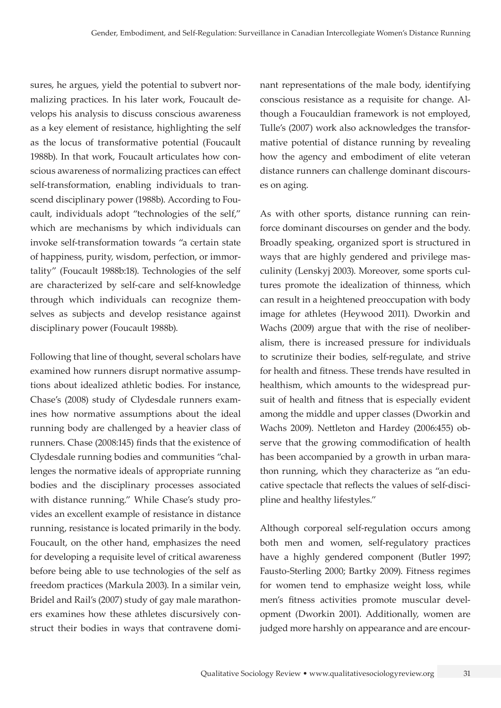sures, he argues, yield the potential to subvert normalizing practices. In his later work, Foucault develops his analysis to discuss conscious awareness as a key element of resistance, highlighting the self as the locus of transformative potential (Foucault 1988b). In that work, Foucault articulates how conscious awareness of normalizing practices can effect self-transformation, enabling individuals to transcend disciplinary power (1988b). According to Foucault, individuals adopt "technologies of the self," which are mechanisms by which individuals can invoke self-transformation towards "a certain state of happiness, purity, wisdom, perfection, or immortality" (Foucault 1988b:18). Technologies of the self are characterized by self-care and self-knowledge through which individuals can recognize themselves as subjects and develop resistance against disciplinary power (Foucault 1988b).

Following that line of thought, several scholars have examined how runners disrupt normative assumptions about idealized athletic bodies. For instance, Chase's (2008) study of Clydesdale runners examines how normative assumptions about the ideal running body are challenged by a heavier class of runners. Chase (2008:145) finds that the existence of Clydesdale running bodies and communities "challenges the normative ideals of appropriate running bodies and the disciplinary processes associated with distance running." While Chase's study provides an excellent example of resistance in distance running, resistance is located primarily in the body. Foucault, on the other hand, emphasizes the need for developing a requisite level of critical awareness before being able to use technologies of the self as freedom practices (Markula 2003). In a similar vein, Bridel and Rail's (2007) study of gay male marathoners examines how these athletes discursively construct their bodies in ways that contravene dominant representations of the male body, identifying conscious resistance as a requisite for change. Although a Foucauldian framework is not employed, Tulle's (2007) work also acknowledges the transformative potential of distance running by revealing how the agency and embodiment of elite veteran distance runners can challenge dominant discourses on aging.

As with other sports, distance running can reinforce dominant discourses on gender and the body. Broadly speaking, organized sport is structured in ways that are highly gendered and privilege masculinity (Lenskyj 2003). Moreover, some sports cultures promote the idealization of thinness, which can result in a heightened preoccupation with body image for athletes (Heywood 2011). Dworkin and Wachs (2009) argue that with the rise of neoliberalism, there is increased pressure for individuals to scrutinize their bodies, self-regulate, and strive for health and fitness. These trends have resulted in healthism, which amounts to the widespread pursuit of health and fitness that is especially evident among the middle and upper classes (Dworkin and Wachs 2009). Nettleton and Hardey (2006:455) observe that the growing commodification of health has been accompanied by a growth in urban marathon running, which they characterize as "an educative spectacle that reflects the values of self-discipline and healthy lifestyles."

Although corporeal self-regulation occurs among both men and women, self-regulatory practices have a highly gendered component (Butler 1997; Fausto-Sterling 2000; Bartky 2009). Fitness regimes for women tend to emphasize weight loss, while men's fitness activities promote muscular development (Dworkin 2001). Additionally, women are judged more harshly on appearance and are encour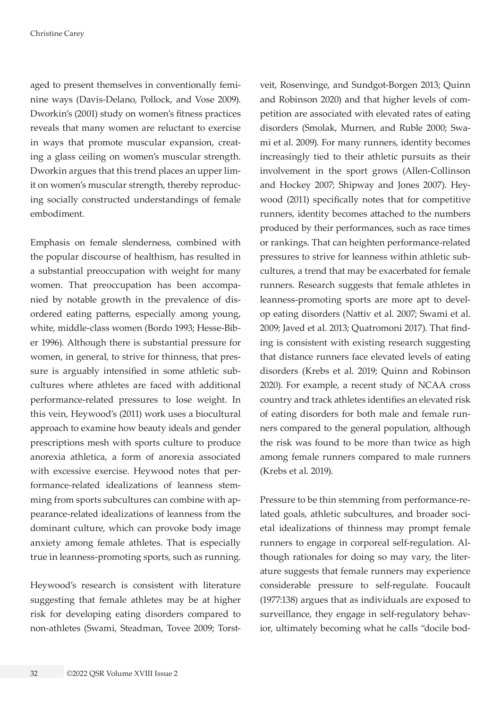aged to present themselves in conventionally feminine ways (Davis-Delano, Pollock, and Vose 2009). Dworkin's (2001) study on women's fitness practices reveals that many women are reluctant to exercise in ways that promote muscular expansion, creating a glass ceiling on women's muscular strength. Dworkin argues that this trend places an upper limit on women's muscular strength, thereby reproducing socially constructed understandings of female embodiment.

Emphasis on female slenderness, combined with the popular discourse of healthism, has resulted in a substantial preoccupation with weight for many women. That preoccupation has been accompanied by notable growth in the prevalence of disordered eating patterns, especially among young, white, middle-class women (Bordo 1993; Hesse-Biber 1996). Although there is substantial pressure for women, in general, to strive for thinness, that pressure is arguably intensified in some athletic subcultures where athletes are faced with additional performance-related pressures to lose weight. In this vein, Heywood's (2011) work uses a biocultural approach to examine how beauty ideals and gender prescriptions mesh with sports culture to produce anorexia athletica, a form of anorexia associated with excessive exercise. Heywood notes that performance-related idealizations of leanness stemming from sports subcultures can combine with appearance-related idealizations of leanness from the dominant culture, which can provoke body image anxiety among female athletes. That is especially true in leanness-promoting sports, such as running.

Heywood's research is consistent with literature suggesting that female athletes may be at higher risk for developing eating disorders compared to non-athletes (Swami, Steadman, Tovee 2009; Torst-

veit, Rosenvinge, and Sundgot-Borgen 2013; Quinn and Robinson 2020) and that higher levels of competition are associated with elevated rates of eating disorders (Smolak, Murnen, and Ruble 2000; Swami et al. 2009). For many runners, identity becomes increasingly tied to their athletic pursuits as their involvement in the sport grows (Allen-Collinson and Hockey 2007; Shipway and Jones 2007). Heywood (2011) specifically notes that for competitive runners, identity becomes attached to the numbers produced by their performances, such as race times or rankings. That can heighten performance-related pressures to strive for leanness within athletic subcultures, a trend that may be exacerbated for female runners. Research suggests that female athletes in leanness-promoting sports are more apt to develop eating disorders (Nattiv et al. 2007; Swami et al. 2009; Javed et al. 2013; Quatromoni 2017). That finding is consistent with existing research suggesting that distance runners face elevated levels of eating disorders (Krebs et al. 2019; Quinn and Robinson 2020). For example, a recent study of NCAA cross country and track athletes identifies an elevated risk of eating disorders for both male and female runners compared to the general population, although the risk was found to be more than twice as high among female runners compared to male runners (Krebs et al. 2019).

Pressure to be thin stemming from performance-related goals, athletic subcultures, and broader societal idealizations of thinness may prompt female runners to engage in corporeal self-regulation. Although rationales for doing so may vary, the literature suggests that female runners may experience considerable pressure to self-regulate. Foucault (1977:138) argues that as individuals are exposed to surveillance, they engage in self-regulatory behavior, ultimately becoming what he calls "docile bod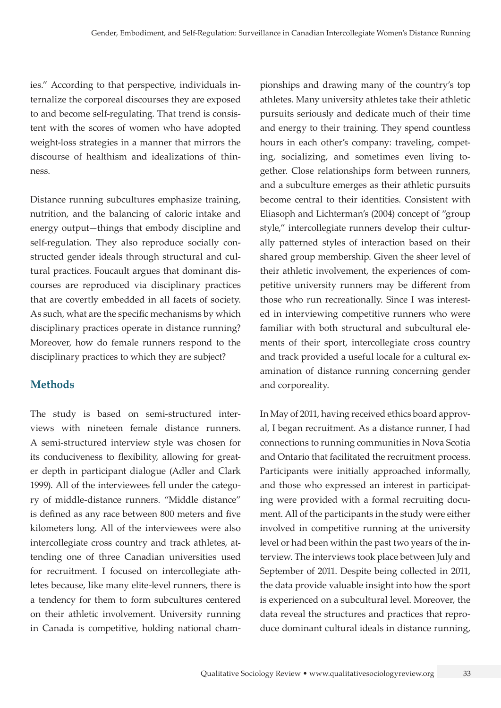ies." According to that perspective, individuals internalize the corporeal discourses they are exposed to and become self-regulating. That trend is consistent with the scores of women who have adopted weight-loss strategies in a manner that mirrors the discourse of healthism and idealizations of thinness.

Distance running subcultures emphasize training, nutrition, and the balancing of caloric intake and energy output—things that embody discipline and self-regulation. They also reproduce socially constructed gender ideals through structural and cultural practices. Foucault argues that dominant discourses are reproduced via disciplinary practices that are covertly embedded in all facets of society. As such, what are the specific mechanisms by which disciplinary practices operate in distance running? Moreover, how do female runners respond to the disciplinary practices to which they are subject?

## **Methods**

The study is based on semi-structured interviews with nineteen female distance runners. A semi-structured interview style was chosen for its conduciveness to flexibility, allowing for greater depth in participant dialogue (Adler and Clark 1999). All of the interviewees fell under the category of middle-distance runners. "Middle distance" is defined as any race between 800 meters and five kilometers long. All of the interviewees were also intercollegiate cross country and track athletes, attending one of three Canadian universities used for recruitment. I focused on intercollegiate athletes because, like many elite-level runners, there is a tendency for them to form subcultures centered on their athletic involvement. University running in Canada is competitive, holding national championships and drawing many of the country's top athletes. Many university athletes take their athletic pursuits seriously and dedicate much of their time and energy to their training. They spend countless hours in each other's company: traveling, competing, socializing, and sometimes even living together. Close relationships form between runners, and a subculture emerges as their athletic pursuits become central to their identities. Consistent with Eliasoph and Lichterman's (2004) concept of "group style," intercollegiate runners develop their culturally patterned styles of interaction based on their shared group membership. Given the sheer level of their athletic involvement, the experiences of competitive university runners may be different from those who run recreationally. Since I was interested in interviewing competitive runners who were familiar with both structural and subcultural elements of their sport, intercollegiate cross country and track provided a useful locale for a cultural examination of distance running concerning gender and corporeality.

In May of 2011, having received ethics board approval, I began recruitment. As a distance runner, I had connections to running communities in Nova Scotia and Ontario that facilitated the recruitment process. Participants were initially approached informally, and those who expressed an interest in participating were provided with a formal recruiting document. All of the participants in the study were either involved in competitive running at the university level or had been within the past two years of the interview. The interviews took place between July and September of 2011. Despite being collected in 2011, the data provide valuable insight into how the sport is experienced on a subcultural level. Moreover, the data reveal the structures and practices that reproduce dominant cultural ideals in distance running,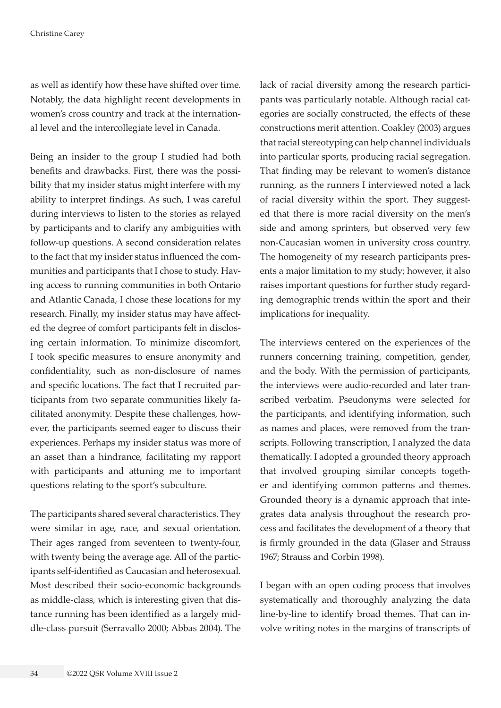as well as identify how these have shifted over time. Notably, the data highlight recent developments in women's cross country and track at the international level and the intercollegiate level in Canada.

Being an insider to the group I studied had both benefits and drawbacks. First, there was the possibility that my insider status might interfere with my ability to interpret findings. As such, I was careful during interviews to listen to the stories as relayed by participants and to clarify any ambiguities with follow-up questions. A second consideration relates to the fact that my insider status influenced the communities and participants that I chose to study. Having access to running communities in both Ontario and Atlantic Canada, I chose these locations for my research. Finally, my insider status may have affected the degree of comfort participants felt in disclosing certain information. To minimize discomfort, I took specific measures to ensure anonymity and confidentiality, such as non-disclosure of names and specific locations. The fact that I recruited participants from two separate communities likely facilitated anonymity. Despite these challenges, however, the participants seemed eager to discuss their experiences. Perhaps my insider status was more of an asset than a hindrance, facilitating my rapport with participants and attuning me to important questions relating to the sport's subculture.

The participants shared several characteristics. They were similar in age, race, and sexual orientation. Their ages ranged from seventeen to twenty-four, with twenty being the average age. All of the participants self-identified as Caucasian and heterosexual. Most described their socio-economic backgrounds as middle-class, which is interesting given that distance running has been identified as a largely middle-class pursuit (Serravallo 2000; Abbas 2004). The lack of racial diversity among the research participants was particularly notable. Although racial categories are socially constructed, the effects of these constructions merit attention. Coakley (2003) argues that racial stereotyping can help channel individuals into particular sports, producing racial segregation. That finding may be relevant to women's distance running, as the runners I interviewed noted a lack of racial diversity within the sport. They suggested that there is more racial diversity on the men's side and among sprinters, but observed very few non-Caucasian women in university cross country. The homogeneity of my research participants presents a major limitation to my study; however, it also raises important questions for further study regarding demographic trends within the sport and their implications for inequality.

The interviews centered on the experiences of the runners concerning training, competition, gender, and the body. With the permission of participants, the interviews were audio-recorded and later transcribed verbatim. Pseudonyms were selected for the participants, and identifying information, such as names and places, were removed from the transcripts. Following transcription, I analyzed the data thematically. I adopted a grounded theory approach that involved grouping similar concepts together and identifying common patterns and themes. Grounded theory is a dynamic approach that integrates data analysis throughout the research process and facilitates the development of a theory that is firmly grounded in the data (Glaser and Strauss 1967; Strauss and Corbin 1998).

I began with an open coding process that involves systematically and thoroughly analyzing the data line-by-line to identify broad themes. That can involve writing notes in the margins of transcripts of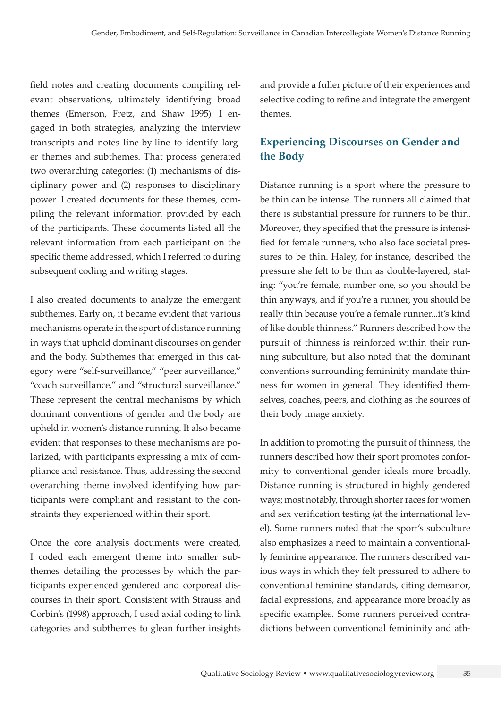field notes and creating documents compiling relevant observations, ultimately identifying broad themes (Emerson, Fretz, and Shaw 1995). I engaged in both strategies, analyzing the interview transcripts and notes line-by-line to identify larger themes and subthemes. That process generated two overarching categories: (1) mechanisms of disciplinary power and (2) responses to disciplinary power. I created documents for these themes, compiling the relevant information provided by each of the participants. These documents listed all the relevant information from each participant on the specific theme addressed, which I referred to during subsequent coding and writing stages.

I also created documents to analyze the emergent subthemes. Early on, it became evident that various mechanisms operate in the sport of distance running in ways that uphold dominant discourses on gender and the body. Subthemes that emerged in this category were "self-surveillance," "peer surveillance," "coach surveillance," and "structural surveillance." These represent the central mechanisms by which dominant conventions of gender and the body are upheld in women's distance running. It also became evident that responses to these mechanisms are polarized, with participants expressing a mix of compliance and resistance. Thus, addressing the second overarching theme involved identifying how participants were compliant and resistant to the constraints they experienced within their sport.

Once the core analysis documents were created, I coded each emergent theme into smaller subthemes detailing the processes by which the participants experienced gendered and corporeal discourses in their sport. Consistent with Strauss and Corbin's (1998) approach, I used axial coding to link categories and subthemes to glean further insights

and provide a fuller picture of their experiences and selective coding to refine and integrate the emergent themes.

# **Experiencing Discourses on Gender and the Body**

Distance running is a sport where the pressure to be thin can be intense. The runners all claimed that there is substantial pressure for runners to be thin. Moreover, they specified that the pressure is intensified for female runners, who also face societal pressures to be thin. Haley, for instance, described the pressure she felt to be thin as double-layered, stating: "you're female, number one, so you should be thin anyways, and if you're a runner, you should be really thin because you're a female runner...it's kind of like double thinness." Runners described how the pursuit of thinness is reinforced within their running subculture, but also noted that the dominant conventions surrounding femininity mandate thinness for women in general. They identified themselves, coaches, peers, and clothing as the sources of their body image anxiety.

In addition to promoting the pursuit of thinness, the runners described how their sport promotes conformity to conventional gender ideals more broadly. Distance running is structured in highly gendered ways; most notably, through shorter races for women and sex verification testing (at the international level). Some runners noted that the sport's subculture also emphasizes a need to maintain a conventionally feminine appearance. The runners described various ways in which they felt pressured to adhere to conventional feminine standards, citing demeanor, facial expressions, and appearance more broadly as specific examples. Some runners perceived contradictions between conventional femininity and ath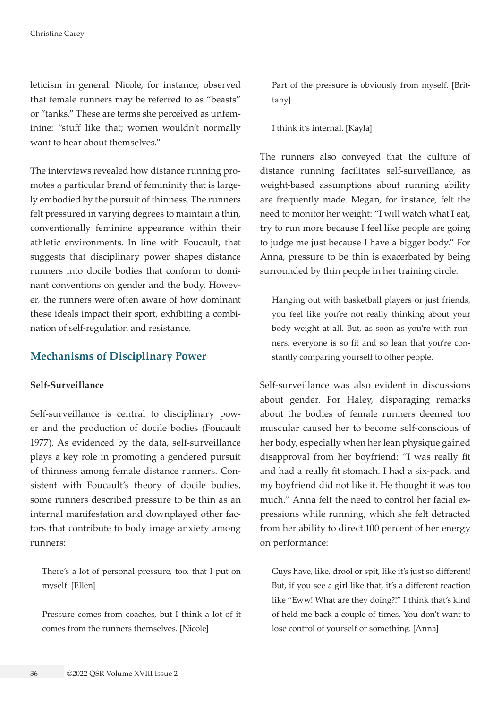leticism in general. Nicole, for instance, observed that female runners may be referred to as "beasts" or "tanks." These are terms she perceived as unfeminine: "stuff like that; women wouldn't normally want to hear about themselves."

The interviews revealed how distance running promotes a particular brand of femininity that is largely embodied by the pursuit of thinness. The runners felt pressured in varying degrees to maintain a thin, conventionally feminine appearance within their athletic environments. In line with Foucault, that suggests that disciplinary power shapes distance runners into docile bodies that conform to dominant conventions on gender and the body. However, the runners were often aware of how dominant these ideals impact their sport, exhibiting a combination of self-regulation and resistance.

## **Mechanisms of Disciplinary Power**

#### **Self-Surveillance**

Self-surveillance is central to disciplinary power and the production of docile bodies (Foucault 1977). As evidenced by the data, self-surveillance plays a key role in promoting a gendered pursuit of thinness among female distance runners. Consistent with Foucault's theory of docile bodies, some runners described pressure to be thin as an internal manifestation and downplayed other factors that contribute to body image anxiety among runners:

There's a lot of personal pressure, too, that I put on myself. [Ellen]

Pressure comes from coaches, but I think a lot of it comes from the runners themselves. [Nicole]

Part of the pressure is obviously from myself. [Brittany]

I think it's internal. [Kayla]

The runners also conveyed that the culture of distance running facilitates self-surveillance, as weight-based assumptions about running ability are frequently made. Megan, for instance, felt the need to monitor her weight: "I will watch what I eat, try to run more because I feel like people are going to judge me just because I have a bigger body." For Anna, pressure to be thin is exacerbated by being surrounded by thin people in her training circle:

Hanging out with basketball players or just friends, you feel like you're not really thinking about your body weight at all. But, as soon as you're with runners, everyone is so fit and so lean that you're constantly comparing yourself to other people.

Self-surveillance was also evident in discussions about gender. For Haley, disparaging remarks about the bodies of female runners deemed too muscular caused her to become self-conscious of her body, especially when her lean physique gained disapproval from her boyfriend: "I was really fit and had a really fit stomach. I had a six-pack, and my boyfriend did not like it. He thought it was too much." Anna felt the need to control her facial expressions while running, which she felt detracted from her ability to direct 100 percent of her energy on performance:

Guys have, like, drool or spit, like it's just so different! But, if you see a girl like that, it's a different reaction like "Eww! What are they doing?!" I think that's kind of held me back a couple of times. You don't want to lose control of yourself or something. [Anna]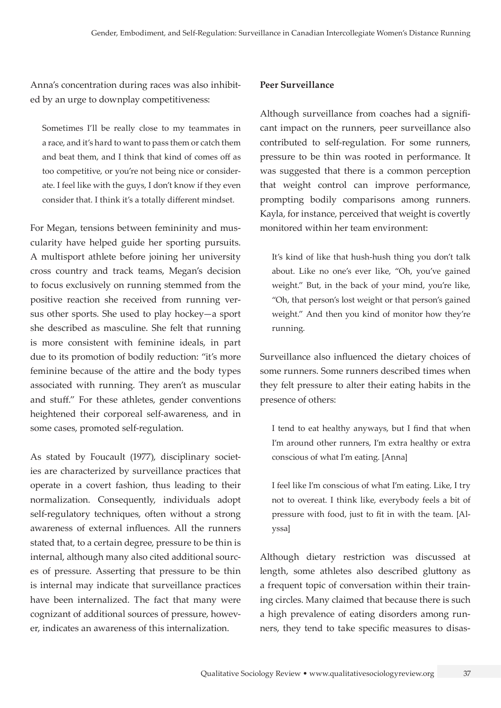Anna's concentration during races was also inhibited by an urge to downplay competitiveness:

Sometimes I'll be really close to my teammates in a race, and it's hard to want to pass them or catch them and beat them, and I think that kind of comes off as too competitive, or you're not being nice or considerate. I feel like with the guys, I don't know if they even consider that. I think it's a totally different mindset.

For Megan, tensions between femininity and muscularity have helped guide her sporting pursuits. A multisport athlete before joining her university cross country and track teams, Megan's decision to focus exclusively on running stemmed from the positive reaction she received from running versus other sports. She used to play hockey—a sport she described as masculine. She felt that running is more consistent with feminine ideals, in part due to its promotion of bodily reduction: "it's more feminine because of the attire and the body types associated with running. They aren't as muscular and stuff." For these athletes, gender conventions heightened their corporeal self-awareness, and in some cases, promoted self-regulation.

As stated by Foucault (1977), disciplinary societies are characterized by surveillance practices that operate in a covert fashion, thus leading to their normalization. Consequently, individuals adopt self-regulatory techniques, often without a strong awareness of external influences. All the runners stated that, to a certain degree, pressure to be thin is internal, although many also cited additional sources of pressure. Asserting that pressure to be thin is internal may indicate that surveillance practices have been internalized. The fact that many were cognizant of additional sources of pressure, however, indicates an awareness of this internalization.

#### **Peer Surveillance**

Although surveillance from coaches had a significant impact on the runners, peer surveillance also contributed to self-regulation. For some runners, pressure to be thin was rooted in performance. It was suggested that there is a common perception that weight control can improve performance, prompting bodily comparisons among runners. Kayla, for instance, perceived that weight is covertly monitored within her team environment:

It's kind of like that hush-hush thing you don't talk about. Like no one's ever like, "Oh, you've gained weight." But, in the back of your mind, you're like, "Oh, that person's lost weight or that person's gained weight." And then you kind of monitor how they're running.

Surveillance also influenced the dietary choices of some runners. Some runners described times when they felt pressure to alter their eating habits in the presence of others:

I tend to eat healthy anyways, but I find that when I'm around other runners, I'm extra healthy or extra conscious of what I'm eating. [Anna]

I feel like I'm conscious of what I'm eating. Like, I try not to overeat. I think like, everybody feels a bit of pressure with food, just to fit in with the team. [Alyssa]

Although dietary restriction was discussed at length, some athletes also described gluttony as a frequent topic of conversation within their training circles. Many claimed that because there is such a high prevalence of eating disorders among runners, they tend to take specific measures to disas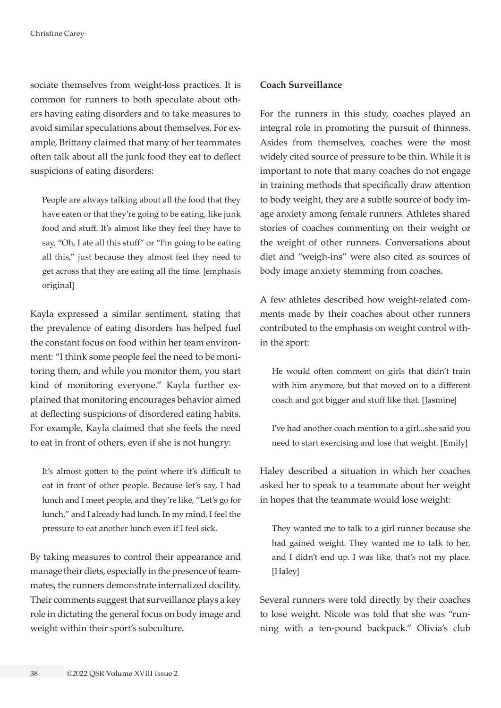sociate themselves from weight-loss practices. It is common for runners to both speculate about others having eating disorders and to take measures to avoid similar speculations about themselves. For example, Brittany claimed that many of her teammates often talk about all the junk food they eat to deflect suspicions of eating disorders:

People are always talking about all the food that they have eaten or that they're going to be eating, like junk food and stuff. It's almost like they feel they have to say, "Oh, I ate all this stuff" or "I'm going to be eating all this," just because they almost feel they need to get across that they are eating all the time. [emphasis original]

Kayla expressed a similar sentiment, stating that the prevalence of eating disorders has helped fuel the constant focus on food within her team environment: "I think some people feel the need to be monitoring them, and while you monitor them, you start kind of monitoring everyone." Kayla further explained that monitoring encourages behavior aimed at deflecting suspicions of disordered eating habits. For example, Kayla claimed that she feels the need to eat in front of others, even if she is not hungry:

It's almost gotten to the point where it's difficult to eat in front of other people. Because let's say, I had lunch and I meet people, and they're like, "Let's go for lunch," and I already had lunch. In my mind, I feel the pressure to eat another lunch even if I feel sick.

By taking measures to control their appearance and manage their diets, especially in the presence of teammates, the runners demonstrate internalized docility. Their comments suggest that surveillance plays a key role in dictating the general focus on body image and weight within their sport's subculture.

#### **Coach Surveillance**

For the runners in this study, coaches played an integral role in promoting the pursuit of thinness. Asides from themselves, coaches were the most widely cited source of pressure to be thin. While it is important to note that many coaches do not engage in training methods that specifically draw attention to body weight, they are a subtle source of body image anxiety among female runners. Athletes shared stories of coaches commenting on their weight or the weight of other runners. Conversations about diet and "weigh-ins" were also cited as sources of body image anxiety stemming from coaches.

A few athletes described how weight-related comments made by their coaches about other runners contributed to the emphasis on weight control within the sport:

He would often comment on girls that didn't train with him anymore, but that moved on to a different coach and got bigger and stuff like that. [Jasmine]

I've had another coach mention to a girl...she said you need to start exercising and lose that weight. [Emily]

Haley described a situation in which her coaches asked her to speak to a teammate about her weight in hopes that the teammate would lose weight:

They wanted me to talk to a girl runner because she had gained weight. They wanted me to talk to her, and I didn't end up. I was like, that's not my place. [Haley]

Several runners were told directly by their coaches to lose weight. Nicole was told that she was "running with a ten-pound backpack." Olivia's club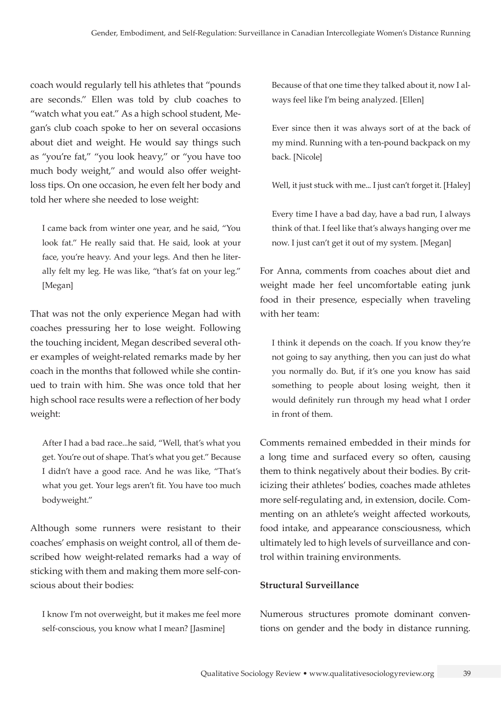coach would regularly tell his athletes that "pounds are seconds." Ellen was told by club coaches to "watch what you eat." As a high school student, Megan's club coach spoke to her on several occasions about diet and weight. He would say things such as "you're fat," "you look heavy," or "you have too much body weight," and would also offer weightloss tips. On one occasion, he even felt her body and told her where she needed to lose weight:

I came back from winter one year, and he said, "You look fat." He really said that. He said, look at your face, you're heavy. And your legs. And then he literally felt my leg. He was like, "that's fat on your leg." [Megan]

That was not the only experience Megan had with coaches pressuring her to lose weight. Following the touching incident, Megan described several other examples of weight-related remarks made by her coach in the months that followed while she continued to train with him. She was once told that her high school race results were a reflection of her body weight:

After I had a bad race...he said, "Well, that's what you get. You're out of shape. That's what you get." Because I didn't have a good race. And he was like, "That's what you get. Your legs aren't fit. You have too much bodyweight."

Although some runners were resistant to their coaches' emphasis on weight control, all of them described how weight-related remarks had a way of sticking with them and making them more self-conscious about their bodies:

I know I'm not overweight, but it makes me feel more self-conscious, you know what I mean? [Jasmine]

Because of that one time they talked about it, now I always feel like I'm being analyzed. [Ellen]

Ever since then it was always sort of at the back of my mind. Running with a ten-pound backpack on my back. [Nicole]

Well, it just stuck with me... I just can't forget it. [Haley]

Every time I have a bad day, have a bad run, I always think of that. I feel like that's always hanging over me now. I just can't get it out of my system. [Megan]

For Anna, comments from coaches about diet and weight made her feel uncomfortable eating junk food in their presence, especially when traveling with her team:

I think it depends on the coach. If you know they're not going to say anything, then you can just do what you normally do. But, if it's one you know has said something to people about losing weight, then it would definitely run through my head what I order in front of them.

Comments remained embedded in their minds for a long time and surfaced every so often, causing them to think negatively about their bodies. By criticizing their athletes' bodies, coaches made athletes more self-regulating and, in extension, docile. Commenting on an athlete's weight affected workouts, food intake, and appearance consciousness, which ultimately led to high levels of surveillance and control within training environments.

### **Structural Surveillance**

Numerous structures promote dominant conventions on gender and the body in distance running.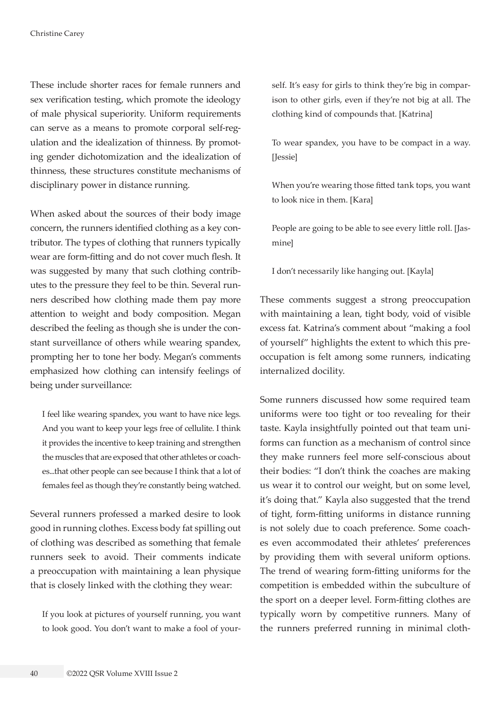These include shorter races for female runners and sex verification testing, which promote the ideology of male physical superiority. Uniform requirements can serve as a means to promote corporal self-regulation and the idealization of thinness. By promoting gender dichotomization and the idealization of thinness, these structures constitute mechanisms of disciplinary power in distance running.

When asked about the sources of their body image concern, the runners identified clothing as a key contributor. The types of clothing that runners typically wear are form-fitting and do not cover much flesh. It was suggested by many that such clothing contributes to the pressure they feel to be thin. Several runners described how clothing made them pay more attention to weight and body composition. Megan described the feeling as though she is under the constant surveillance of others while wearing spandex, prompting her to tone her body. Megan's comments emphasized how clothing can intensify feelings of being under surveillance:

I feel like wearing spandex, you want to have nice legs. And you want to keep your legs free of cellulite. I think it provides the incentive to keep training and strengthen the muscles that are exposed that other athletes or coaches...that other people can see because I think that a lot of females feel as though they're constantly being watched.

Several runners professed a marked desire to look good in running clothes. Excess body fat spilling out of clothing was described as something that female runners seek to avoid. Their comments indicate a preoccupation with maintaining a lean physique that is closely linked with the clothing they wear:

If you look at pictures of yourself running, you want to look good. You don't want to make a fool of yourself. It's easy for girls to think they're big in comparison to other girls, even if they're not big at all. The clothing kind of compounds that. [Katrina]

To wear spandex, you have to be compact in a way. [Jessie]

When you're wearing those fitted tank tops, you want to look nice in them. [Kara]

People are going to be able to see every little roll. [Jasmine]

I don't necessarily like hanging out. [Kayla]

These comments suggest a strong preoccupation with maintaining a lean, tight body, void of visible excess fat. Katrina's comment about "making a fool of yourself" highlights the extent to which this preoccupation is felt among some runners, indicating internalized docility.

Some runners discussed how some required team uniforms were too tight or too revealing for their taste. Kayla insightfully pointed out that team uniforms can function as a mechanism of control since they make runners feel more self-conscious about their bodies: "I don't think the coaches are making us wear it to control our weight, but on some level, it's doing that." Kayla also suggested that the trend of tight, form-fitting uniforms in distance running is not solely due to coach preference. Some coaches even accommodated their athletes' preferences by providing them with several uniform options. The trend of wearing form-fitting uniforms for the competition is embedded within the subculture of the sport on a deeper level. Form-fitting clothes are typically worn by competitive runners. Many of the runners preferred running in minimal cloth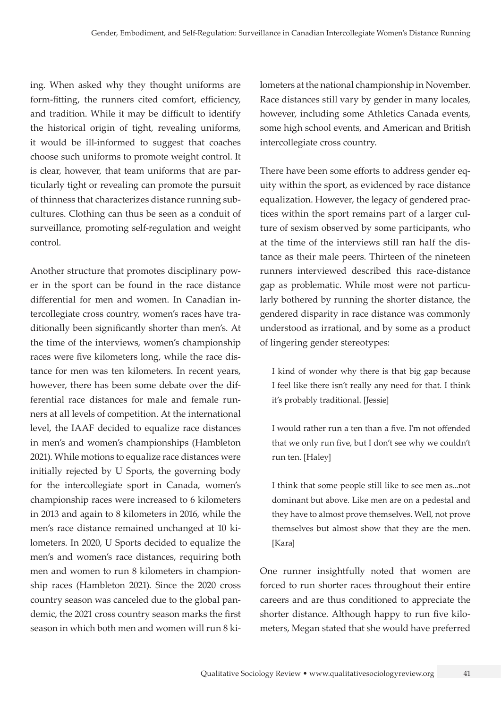ing. When asked why they thought uniforms are form-fitting, the runners cited comfort, efficiency, and tradition. While it may be difficult to identify the historical origin of tight, revealing uniforms, it would be ill-informed to suggest that coaches choose such uniforms to promote weight control. It is clear, however, that team uniforms that are particularly tight or revealing can promote the pursuit of thinness that characterizes distance running subcultures. Clothing can thus be seen as a conduit of surveillance, promoting self-regulation and weight control.

Another structure that promotes disciplinary power in the sport can be found in the race distance differential for men and women. In Canadian intercollegiate cross country, women's races have traditionally been significantly shorter than men's. At the time of the interviews, women's championship races were five kilometers long, while the race distance for men was ten kilometers. In recent years, however, there has been some debate over the differential race distances for male and female runners at all levels of competition. At the international level, the IAAF decided to equalize race distances in men's and women's championships (Hambleton 2021). While motions to equalize race distances were initially rejected by U Sports, the governing body for the intercollegiate sport in Canada, women's championship races were increased to 6 kilometers in 2013 and again to 8 kilometers in 2016, while the men's race distance remained unchanged at 10 kilometers. In 2020, U Sports decided to equalize the men's and women's race distances, requiring both men and women to run 8 kilometers in championship races (Hambleton 2021). Since the 2020 cross country season was canceled due to the global pandemic, the 2021 cross country season marks the first season in which both men and women will run 8 kilometers at the national championship in November. Race distances still vary by gender in many locales, however, including some Athletics Canada events, some high school events, and American and British intercollegiate cross country.

There have been some efforts to address gender equity within the sport, as evidenced by race distance equalization. However, the legacy of gendered practices within the sport remains part of a larger culture of sexism observed by some participants, who at the time of the interviews still ran half the distance as their male peers. Thirteen of the nineteen runners interviewed described this race-distance gap as problematic. While most were not particularly bothered by running the shorter distance, the gendered disparity in race distance was commonly understood as irrational, and by some as a product of lingering gender stereotypes:

I kind of wonder why there is that big gap because I feel like there isn't really any need for that. I think it's probably traditional. [Jessie]

I would rather run a ten than a five. I'm not offended that we only run five, but I don't see why we couldn't run ten. [Haley]

I think that some people still like to see men as...not dominant but above. Like men are on a pedestal and they have to almost prove themselves. Well, not prove themselves but almost show that they are the men. [Kara]

One runner insightfully noted that women are forced to run shorter races throughout their entire careers and are thus conditioned to appreciate the shorter distance. Although happy to run five kilometers, Megan stated that she would have preferred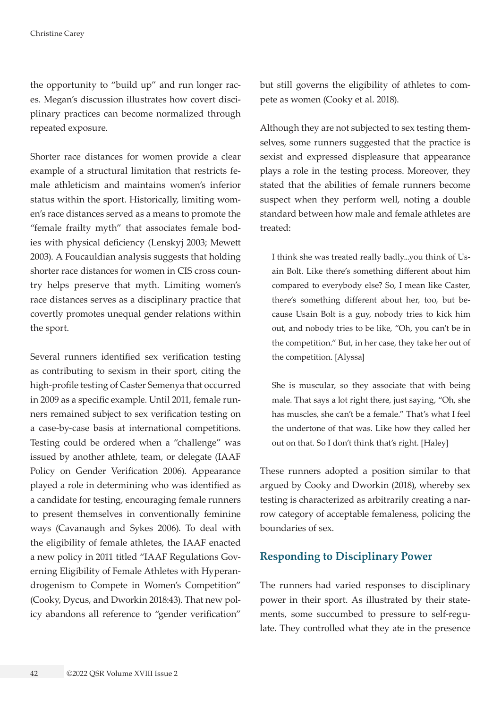the opportunity to "build up" and run longer races. Megan's discussion illustrates how covert disciplinary practices can become normalized through repeated exposure.

Shorter race distances for women provide a clear example of a structural limitation that restricts female athleticism and maintains women's inferior status within the sport. Historically, limiting women's race distances served as a means to promote the "female frailty myth" that associates female bodies with physical deficiency (Lenskyj 2003; Mewett 2003). A Foucauldian analysis suggests that holding shorter race distances for women in CIS cross country helps preserve that myth. Limiting women's race distances serves as a disciplinary practice that covertly promotes unequal gender relations within the sport.

Several runners identified sex verification testing as contributing to sexism in their sport, citing the high-profile testing of Caster Semenya that occurred in 2009 as a specific example. Until 2011, female runners remained subject to sex verification testing on a case-by-case basis at international competitions. Testing could be ordered when a "challenge" was issued by another athlete, team, or delegate (IAAF Policy on Gender Verification 2006). Appearance played a role in determining who was identified as a candidate for testing, encouraging female runners to present themselves in conventionally feminine ways (Cavanaugh and Sykes 2006). To deal with the eligibility of female athletes, the IAAF enacted a new policy in 2011 titled "IAAF Regulations Governing Eligibility of Female Athletes with Hyperandrogenism to Compete in Women's Competition" (Cooky, Dycus, and Dworkin 2018:43). That new policy abandons all reference to "gender verification"

but still governs the eligibility of athletes to compete as women (Cooky et al. 2018).

Although they are not subjected to sex testing themselves, some runners suggested that the practice is sexist and expressed displeasure that appearance plays a role in the testing process. Moreover, they stated that the abilities of female runners become suspect when they perform well, noting a double standard between how male and female athletes are treated:

I think she was treated really badly...you think of Usain Bolt. Like there's something different about him compared to everybody else? So, I mean like Caster, there's something different about her, too, but because Usain Bolt is a guy, nobody tries to kick him out, and nobody tries to be like, "Oh, you can't be in the competition." But, in her case, they take her out of the competition. [Alyssa]

She is muscular, so they associate that with being male. That says a lot right there, just saying, "Oh, she has muscles, she can't be a female." That's what I feel the undertone of that was. Like how they called her out on that. So I don't think that's right. [Haley]

These runners adopted a position similar to that argued by Cooky and Dworkin (2018), whereby sex testing is characterized as arbitrarily creating a narrow category of acceptable femaleness, policing the boundaries of sex.

# **Responding to Disciplinary Power**

The runners had varied responses to disciplinary power in their sport. As illustrated by their statements, some succumbed to pressure to self-regulate. They controlled what they ate in the presence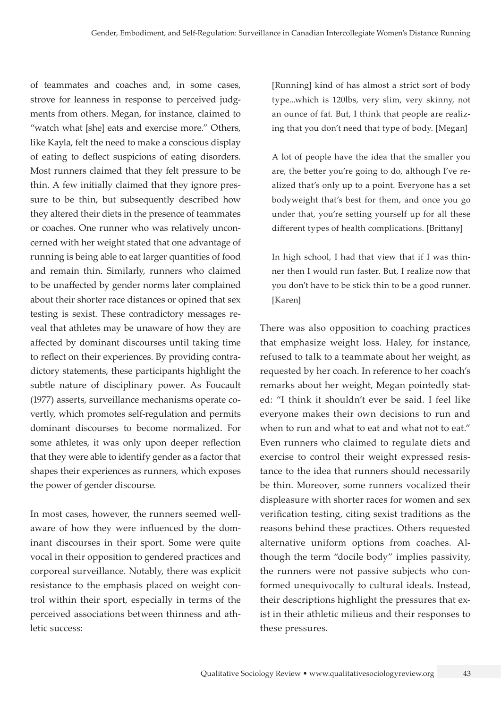of teammates and coaches and, in some cases, strove for leanness in response to perceived judgments from others. Megan, for instance, claimed to "watch what [she] eats and exercise more." Others, like Kayla, felt the need to make a conscious display of eating to deflect suspicions of eating disorders. Most runners claimed that they felt pressure to be thin. A few initially claimed that they ignore pressure to be thin, but subsequently described how they altered their diets in the presence of teammates or coaches. One runner who was relatively unconcerned with her weight stated that one advantage of running is being able to eat larger quantities of food and remain thin. Similarly, runners who claimed to be unaffected by gender norms later complained about their shorter race distances or opined that sex testing is sexist. These contradictory messages reveal that athletes may be unaware of how they are affected by dominant discourses until taking time to reflect on their experiences. By providing contradictory statements, these participants highlight the subtle nature of disciplinary power. As Foucault (1977) asserts, surveillance mechanisms operate covertly, which promotes self-regulation and permits dominant discourses to become normalized. For some athletes, it was only upon deeper reflection that they were able to identify gender as a factor that shapes their experiences as runners, which exposes the power of gender discourse.

In most cases, however, the runners seemed wellaware of how they were influenced by the dominant discourses in their sport. Some were quite vocal in their opposition to gendered practices and corporeal surveillance. Notably, there was explicit resistance to the emphasis placed on weight control within their sport, especially in terms of the perceived associations between thinness and athletic success:

[Running] kind of has almost a strict sort of body type...which is 120lbs, very slim, very skinny, not an ounce of fat. But, I think that people are realizing that you don't need that type of body. [Megan]

A lot of people have the idea that the smaller you are, the better you're going to do, although I've realized that's only up to a point. Everyone has a set bodyweight that's best for them, and once you go under that, you're setting yourself up for all these different types of health complications. [Brittany]

In high school, I had that view that if I was thinner then I would run faster. But, I realize now that you don't have to be stick thin to be a good runner. [Karen]

There was also opposition to coaching practices that emphasize weight loss. Haley, for instance, refused to talk to a teammate about her weight, as requested by her coach. In reference to her coach's remarks about her weight, Megan pointedly stated: "I think it shouldn't ever be said. I feel like everyone makes their own decisions to run and when to run and what to eat and what not to eat." Even runners who claimed to regulate diets and exercise to control their weight expressed resistance to the idea that runners should necessarily be thin. Moreover, some runners vocalized their displeasure with shorter races for women and sex verification testing, citing sexist traditions as the reasons behind these practices. Others requested alternative uniform options from coaches. Although the term "docile body" implies passivity, the runners were not passive subjects who conformed unequivocally to cultural ideals. Instead, their descriptions highlight the pressures that exist in their athletic milieus and their responses to these pressures.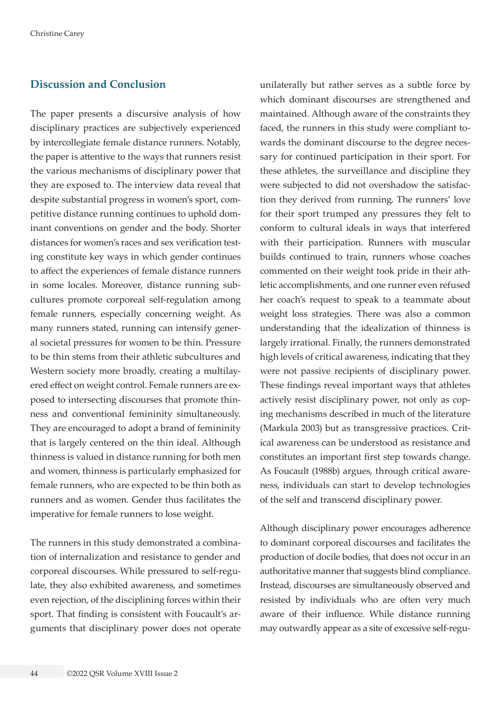## **Discussion and Conclusion**

The paper presents a discursive analysis of how disciplinary practices are subjectively experienced by intercollegiate female distance runners. Notably, the paper is attentive to the ways that runners resist the various mechanisms of disciplinary power that they are exposed to. The interview data reveal that despite substantial progress in women's sport, competitive distance running continues to uphold dominant conventions on gender and the body. Shorter distances for women's races and sex verification testing constitute key ways in which gender continues to affect the experiences of female distance runners in some locales. Moreover, distance running subcultures promote corporeal self-regulation among female runners, especially concerning weight. As many runners stated, running can intensify general societal pressures for women to be thin. Pressure to be thin stems from their athletic subcultures and Western society more broadly, creating a multilayered effect on weight control. Female runners are exposed to intersecting discourses that promote thinness and conventional femininity simultaneously. They are encouraged to adopt a brand of femininity that is largely centered on the thin ideal. Although thinness is valued in distance running for both men and women, thinness is particularly emphasized for female runners, who are expected to be thin both as runners and as women. Gender thus facilitates the imperative for female runners to lose weight.

The runners in this study demonstrated a combination of internalization and resistance to gender and corporeal discourses. While pressured to self-regulate, they also exhibited awareness, and sometimes even rejection, of the disciplining forces within their sport. That finding is consistent with Foucault's arguments that disciplinary power does not operate unilaterally but rather serves as a subtle force by which dominant discourses are strengthened and maintained. Although aware of the constraints they faced, the runners in this study were compliant towards the dominant discourse to the degree necessary for continued participation in their sport. For these athletes, the surveillance and discipline they were subjected to did not overshadow the satisfaction they derived from running. The runners' love for their sport trumped any pressures they felt to conform to cultural ideals in ways that interfered with their participation. Runners with muscular builds continued to train, runners whose coaches commented on their weight took pride in their athletic accomplishments, and one runner even refused her coach's request to speak to a teammate about weight loss strategies. There was also a common understanding that the idealization of thinness is largely irrational. Finally, the runners demonstrated high levels of critical awareness, indicating that they were not passive recipients of disciplinary power. These findings reveal important ways that athletes actively resist disciplinary power, not only as coping mechanisms described in much of the literature (Markula 2003) but as transgressive practices. Critical awareness can be understood as resistance and constitutes an important first step towards change. As Foucault (1988b) argues, through critical awareness, individuals can start to develop technologies of the self and transcend disciplinary power.

Although disciplinary power encourages adherence to dominant corporeal discourses and facilitates the production of docile bodies, that does not occur in an authoritative manner that suggests blind compliance. Instead, discourses are simultaneously observed and resisted by individuals who are often very much aware of their influence. While distance running may outwardly appear as a site of excessive self-regu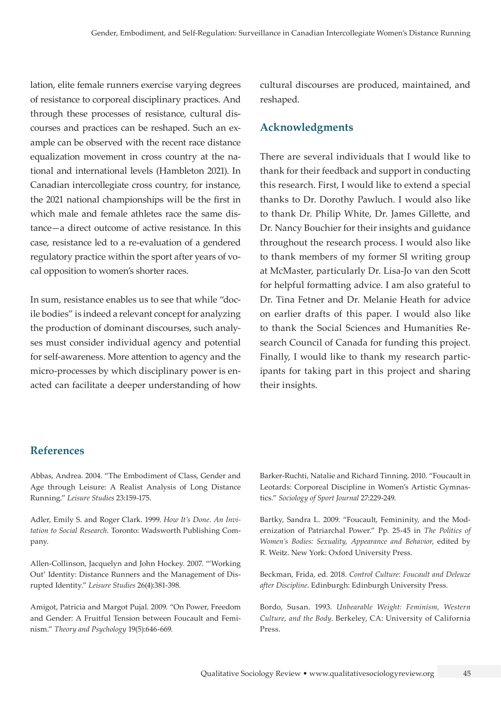lation, elite female runners exercise varying degrees of resistance to corporeal disciplinary practices. And through these processes of resistance, cultural discourses and practices can be reshaped. Such an example can be observed with the recent race distance equalization movement in cross country at the national and international levels (Hambleton 2021). In Canadian intercollegiate cross country, for instance, the 2021 national championships will be the first in which male and female athletes race the same distance—a direct outcome of active resistance. In this case, resistance led to a re-evaluation of a gendered regulatory practice within the sport after years of vocal opposition to women's shorter races.

In sum, resistance enables us to see that while "docile bodies" is indeed a relevant concept for analyzing the production of dominant discourses, such analyses must consider individual agency and potential for self-awareness. More attention to agency and the micro-processes by which disciplinary power is enacted can facilitate a deeper understanding of how cultural discourses are produced, maintained, and reshaped.

## **Acknowledgments**

There are several individuals that I would like to thank for their feedback and support in conducting this research. First, I would like to extend a special thanks to Dr. Dorothy Pawluch. I would also like to thank Dr. Philip White, Dr. James Gillette, and Dr. Nancy Bouchier for their insights and guidance throughout the research process. I would also like to thank members of my former SI writing group at McMaster, particularly Dr. Lisa-Jo van den Scott for helpful formatting advice. I am also grateful to Dr. Tina Fetner and Dr. Melanie Heath for advice on earlier drafts of this paper. I would also like to thank the Social Sciences and Humanities Research Council of Canada for funding this project. Finally, I would like to thank my research participants for taking part in this project and sharing their insights.

## **References**

Abbas, Andrea. 2004. "The Embodiment of Class, Gender and Age through Leisure: A Realist Analysis of Long Distance Running." *Leisure Studies* 23:159-175.

Adler, Emily S. and Roger Clark. 1999. *How It's Done. An Invitation to Social Research*. Toronto: Wadsworth Publishing Company.

Allen-Collinson, Jacquelyn and John Hockey. 2007. "'Working Out' Identity: Distance Runners and the Management of Disrupted Identity." *Leisure Studies* 26(4):381-398.

Amigot, Patricia and Margot Pujal. 2009. "On Power, Freedom and Gender: A Fruitful Tension between Foucault and Feminism." *Theory and Psychology* 19(5):646-669.

Barker-Ruchti, Natalie and Richard Tinning. 2010. "Foucault in Leotards: Corporeal Discipline in Women's Artistic Gymnastics." *Sociology of Sport Journal* 27:229-249.

Bartky, Sandra L. 2009. "Foucault, Femininity, and the Modernization of Patriarchal Power." Pp. 25-45 in *The Politics of Women's Bodies: Sexuality, Appearance and Behavior*, edited by R. Weitz. New York: Oxford University Press.

Beckman, Frida, ed. 2018. *Control Culture: Foucault and Deleuze after Discipline*. Edinburgh: Edinburgh University Press.

Bordo, Susan. 1993. *Unbearable Weight: Feminism, Western Culture, and the Body*. Berkeley, CA: University of California Press.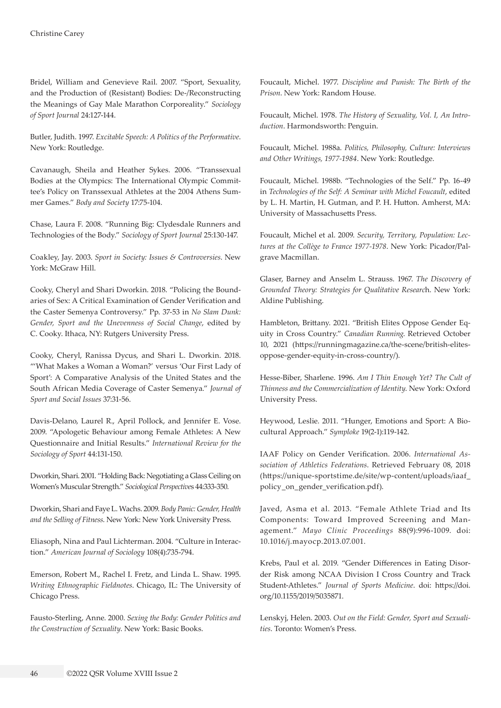Bridel, William and Genevieve Rail. 2007. "Sport, Sexuality, and the Production of (Resistant) Bodies: De-/Reconstructing the Meanings of Gay Male Marathon Corporeality." *Sociology of Sport Journal* 24:127-144.

Butler, Judith. 1997. *Excitable Speech: A Politics of the Performative*. New York: Routledge.

Cavanaugh, Sheila and Heather Sykes. 2006. "Transsexual Bodies at the Olympics: The International Olympic Committee's Policy on Transsexual Athletes at the 2004 Athens Summer Games." *Body and Society* 17:75-104.

Chase, Laura F. 2008. "Running Big: Clydesdale Runners and Technologies of the Body." *Sociology of Sport Journal* 25:130-147.

Coakley, Jay. 2003. *Sport in Society: Issues & Controversies*. New York: McGraw Hill.

Cooky, Cheryl and Shari Dworkin. 2018. "Policing the Boundaries of Sex: A Critical Examination of Gender Verification and the Caster Semenya Controversy." Pp. 37-53 in *No Slam Dunk: Gender, Sport and the Unevenness of Social Change*, edited by C. Cooky. Ithaca, NY: Rutgers University Press.

Cooky, Cheryl, Ranissa Dycus, and Shari L. Dworkin. 2018. "'What Makes a Woman a Woman?' versus 'Our First Lady of Sport': A Comparative Analysis of the United States and the South African Media Coverage of Caster Semenya." *Journal of Sport and Social Issues* 37:31-56.

Davis-Delano, Laurel R., April Pollock, and Jennifer E. Vose. 2009. "Apologetic Behaviour among Female Athletes: A New Questionnaire and Initial Results." *International Review for the Sociology of Sport* 44:131-150.

Dworkin, Shari. 2001. "Holding Back: Negotiating a Glass Ceiling on Women's Muscular Strength." *Sociological Perspective*s 44:333-350.

Dworkin, Shari and Faye L. Wachs. 2009. *Body Panic: Gender, Health and the Selling of Fitness*. New York: New York University Press.

Eliasoph, Nina and Paul Lichterman. 2004. "Culture in Interaction." *American Journal of Sociology* 108(4):735-794.

Emerson, Robert M., Rachel I. Fretz, and Linda L. Shaw. 1995. *Writing Ethnographic Fieldnotes*. Chicago, IL: The University of Chicago Press.

Fausto-Sterling, Anne. 2000. *Sexing the Body: Gender Politics and the Construction of Sexuality*. New York: Basic Books.

Foucault, Michel. 1977. *Discipline and Punish: The Birth of the Prison*. New York: Random House.

Foucault, Michel. 1978. *The History of Sexuality, Vol. I, An Introduction*. Harmondsworth: Penguin.

Foucault, Michel. 1988a. *Politics, Philosophy, Culture: Interviews and Other Writings, 1977-1984*. New York: Routledge.

Foucault, Michel. 1988b. "Technologies of the Self." Pp. 16-49 in *Technologies of the Self: A Seminar with Michel Foucault*, edited by L. H. Martin, H. Gutman, and P. H. Hutton. Amherst, MA: University of Massachusetts Press.

Foucault, Michel et al. 2009. *Security, Territory, Population: Lectures at the Collège to France 1977-1978*. New York: Picador/Palgrave Macmillan.

Glaser, Barney and Anselm L. Strauss. 1967. *The Discovery of Grounded Theory: Strategies for Qualitative Researc*h. New York: Aldine Publishing.

Hambleton, Brittany. 2021. "British Elites Oppose Gender Equity in Cross Country." *Canadian Running*. Retrieved October 10, 2021 ([https://runningmagazine.ca/the-scene/british-elites](https://runningmagazine.ca/the-scene/british-elites-oppose-gender-equity-in-cross-country/)[oppose-gender-equity-in-cross-country/](https://runningmagazine.ca/the-scene/british-elites-oppose-gender-equity-in-cross-country/)).

Hesse-Biber, Sharlene. 1996. *Am I Thin Enough Yet? The Cult of Thinness and the Commercialization of Identity*. New York: Oxford University Press.

Heywood, Leslie. 2011. "Hunger, Emotions and Sport: A Biocultural Approach." *Symploke* 19(2-1):119-142.

IAAF Policy on Gender Verification. 2006. *International Association of Athletics Federations*. Retrieved February 08, 2018 ([https://unique-sportstime.de/site/wp-content/uploads/iaaf\\_](https://unique-sportstime.de/site/wp-content/uploads/iaaf_policy_on_gender_verification.pdf) [policy\\_on\\_gender\\_verification.pdf](https://unique-sportstime.de/site/wp-content/uploads/iaaf_policy_on_gender_verification.pdf)).

Javed, Asma et al. 2013. "Female Athlete Triad and Its Components: Toward Improved Screening and Management." *Mayo Clinic Proceedings* 88(9):996-1009. doi: [10.1016/j.mayocp.2013.07.001](https://pubmed.ncbi.nlm.nih.gov/24001492/).

Krebs, Paul et al. 2019. "Gender Differences in Eating Disorder Risk among NCAA Division I Cross Country and Track Student-Athletes." *Journal of Sports Medicine*. doi: [https://doi.](https://doi.org/10.1155/2019/5035871) [org/10.1155/2019/5035871](https://doi.org/10.1155/2019/5035871).

Lenskyj, Helen. 2003. *Out on the Field: Gender, Sport and Sexualities*. Toronto: Women's Press.